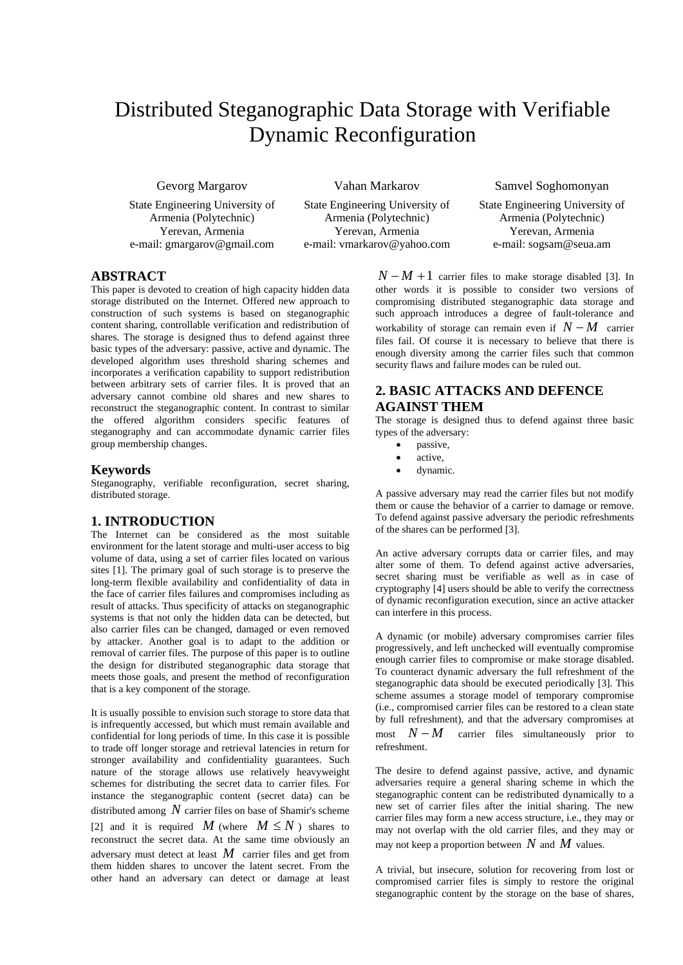# Distributed Steganographic Data Storage with Verifiable Dynamic Reconfiguration

Gevorg Margarov

State Engineering University of Armenia (Polytechnic) Yerevan, Armenia e-mail: gmargarov@gmail.com

Armenia (Polytechnic)

Vahan Markarov

State Engineering University of Yerevan, Armenia e-mail: vmarkarov@yahoo.com Samvel Soghomonyan

State Engineering University of Armenia (Polytechnic) Yerevan, Armenia e-mail: sogsam@seua.am

## **ABSTRACT**

This paper is devoted to creation of high capacity hidden data storage distributed on the Internet. Offered new approach to construction of such systems is based on steganographic content sharing, controllable verification and redistribution of shares. The storage is designed thus to defend against three basic types of the adversary: passive, active and dynamic. The developed algorithm uses threshold sharing schemes and incorporates a verification capability to support redistribution between arbitrary sets of carrier files. It is proved that an adversary cannot combine old shares and new shares to reconstruct the steganographic content. In contrast to similar the offered algorithm considers specific features of steganography and can accommodate dynamic carrier files group membership changes.

## **Keywords**

Steganography, verifiable reconfiguration, secret sharing, distributed storage.

### **1. INTRODUCTION**

The Internet can be considered as the most suitable environment for the latent storage and multi-user access to big volume of data, using a set of carrier files located on various sites [1]. The primary goal of such storage is to preserve the long-term flexible availability and confidentiality of data in the face of carrier files failures and compromises including as result of attacks. Thus specificity of attacks on steganographic systems is that not only the hidden data can be detected, but also carrier files can be changed, damaged or even removed by attacker. Another goal is to adapt to the addition or removal of carrier files. The purpose of this paper is to outline the design for distributed steganographic data storage that meets those goals, and present the method of reconfiguration that is a key component of the storage.

It is usually possible to envision such storage to store data that is infrequently accessed, but which must remain available and confidential for long periods of time. In this case it is possible to trade off longer storage and retrieval latencies in return for stronger availability and confidentiality guarantees. Such nature of the storage allows use relatively heavyweight schemes for distributing the secret data to carrier files. For instance the steganographic content (secret data) can be distributed among *N* carrier files on base of Shamir's scheme [2] and it is required *M* (where  $M \leq N$ ) shares to reconstruct the secret data. At the same time obviously an adversary must detect at least *M* carrier files and get from them hidden shares to uncover the latent secret. From the other hand an adversary can detect or damage at least

 $N - M + 1$  carrier files to make storage disabled [3]. In other words it is possible to consider two versions of compromising distributed steganographic data storage and such approach introduces a degree of fault-tolerance and workability of storage can remain even if  $N - M$  carrier files fail. Of course it is necessary to believe that there is enough diversity among the carrier files such that common security flaws and failure modes can be ruled out.

# **2. BASIC ATTACKS AND DEFENCE AGAINST THEM**

The storage is designed thus to defend against three basic types of the adversary:

- passive,
- active.
- dynamic.

A passive adversary may read the carrier files but not modify them or cause the behavior of a carrier to damage or remove. To defend against passive adversary the periodic refreshments of the shares can be performed [3].

An active adversary corrupts data or carrier files, and may alter some of them. To defend against active adversaries, secret sharing must be verifiable as well as in case of cryptography [4] users should be able to verify the correctness of dynamic reconfiguration execution, since an active attacker can interfere in this process.

A dynamic (or mobile) adversary compromises carrier files progressively, and left unchecked will eventually compromise enough carrier files to compromise or make storage disabled. To counteract dynamic adversary the full refreshment of the steganographic data should be executed periodically [3]. This scheme assumes a storage model of temporary compromise (i.e., compromised carrier files can be restored to a clean state by full refreshment), and that the adversary compromises at most  $N - M$  carrier files simultaneously prior to refreshment.

The desire to defend against passive, active, and dynamic adversaries require a general sharing scheme in which the steganographic content can be redistributed dynamically to a new set of carrier files after the initial sharing. The new carrier files may form a new access structure, i.e., they may or may not overlap with the old carrier files, and they may or may not keep a proportion between *N* and *M* values.

A trivial, but insecure, solution for recovering from lost or compromised carrier files is simply to restore the original steganographic content by the storage on the base of shares,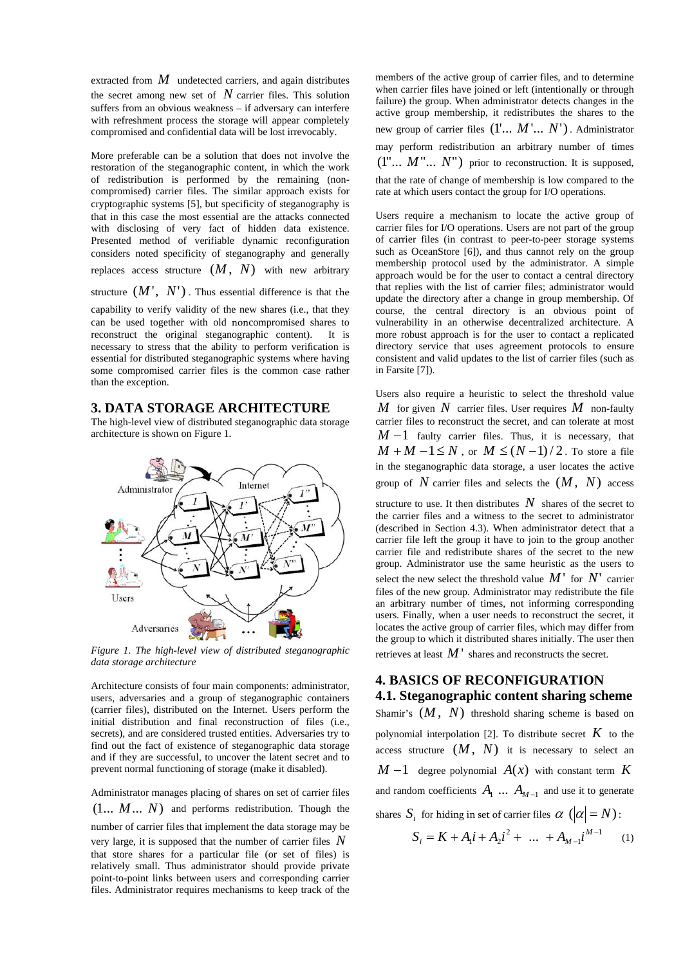extracted from *M* undetected carriers, and again distributes the secret among new set of  $N$  carrier files. This solution suffers from an obvious weakness – if adversary can interfere with refreshment process the storage will appear completely compromised and confidential data will be lost irrevocably.

More preferable can be a solution that does not involve the restoration of the steganographic content, in which the work of redistribution is performed by the remaining (noncompromised) carrier files. The similar approach exists for cryptographic systems [5], but specificity of steganography is that in this case the most essential are the attacks connected with disclosing of very fact of hidden data existence. Presented method of verifiable dynamic reconfiguration considers noted specificity of steganography and generally replaces access structure  $(M, N)$  with new arbitrary

structure (*M* ', *N*') . Thus essential difference is that the capability to verify validity of the new shares (i.e., that they can be used together with old noncompromised shares to reconstruct the original steganographic content). It is necessary to stress that the ability to perform verification is essential for distributed steganographic systems where having some compromised carrier files is the common case rather

#### **3. DATA STORAGE ARCHITECTURE**

than the exception.

The high-level view of distributed steganographic data storage architecture is shown on Figure 1.



*Figure 1. The high-level view of distributed steganographic data storage architecture* 

Architecture consists of four main components: administrator, users, adversaries and a group of steganographic containers (carrier files), distributed on the Internet. Users perform the initial distribution and final reconstruction of files (i.e., secrets), and are considered trusted entities. Adversaries try to find out the fact of existence of steganographic data storage and if they are successful, to uncover the latent secret and to prevent normal functioning of storage (make it disabled).

Administrator manages placing of shares on set of carrier files (1... *M*... *N*) and performs redistribution. Though the number of carrier files that implement the data storage may be very large, it is supposed that the number of carrier files *N* that store shares for a particular file (or set of files) is relatively small. Thus administrator should provide private point-to-point links between users and corresponding carrier files. Administrator requires mechanisms to keep track of the

members of the active group of carrier files, and to determine when carrier files have joined or left (intentionally or through failure) the group. When administrator detects changes in the active group membership, it redistributes the shares to the new group of carrier files (1'... *M* '... *N*'). Administrator may perform redistribution an arbitrary number of times  $(1^{\prime\prime} \dots M^{\prime\prime} \dots N^{\prime\prime})$  prior to reconstruction. It is supposed, that the rate of change of membership is low compared to the rate at which users contact the group for I/O operations.

Users require a mechanism to locate the active group of carrier files for I/O operations. Users are not part of the group of carrier files (in contrast to peer-to-peer storage systems such as OceanStore [6]), and thus cannot rely on the group membership protocol used by the administrator. A simple approach would be for the user to contact a central directory that replies with the list of carrier files; administrator would update the directory after a change in group membership. Of course, the central directory is an obvious point of vulnerability in an otherwise decentralized architecture. A more robust approach is for the user to contact a replicated directory service that uses agreement protocols to ensure consistent and valid updates to the list of carrier files (such as in Farsite [7]).

Users also require a heuristic to select the threshold value *M* for given *N* carrier files. User requires *M* non-faulty carrier files to reconstruct the secret, and can tolerate at most  $M-1$  faulty carrier files. Thus, it is necessary, that  $M + M - 1 \leq N$ , or  $M \leq (N - 1)/2$ . To store a file in the steganographic data storage, a user locates the active group of  $N$  carrier files and selects the  $(M, N)$  access

structure to use. It then distributes  $N$  shares of the secret to the carrier files and a witness to the secret to administrator (described in Section 4.3). When administrator detect that a carrier file left the group it have to join to the group another carrier file and redistribute shares of the secret to the new group. Administrator use the same heuristic as the users to select the new select the threshold value  $M'$  for  $N'$  carrier files of the new group. Administrator may redistribute the file an arbitrary number of times, not informing corresponding users. Finally, when a user needs to reconstruct the secret, it locates the active group of carrier files, which may differ from the group to which it distributed shares initially. The user then retrieves at least *M* ' shares and reconstructs the secret.

## **4. BASICS OF RECONFIGURATION 4.1. Steganographic content sharing scheme**

Shamir's  $(M, N)$  threshold sharing scheme is based on polynomial interpolation [2]. To distribute secret  $K$  to the access structure  $(M, N)$  it is necessary to select an  $M-1$  degree polynomial  $A(x)$  with constant term  $K$ and random coefficients  $A_1 \ldots A_{M-1}$  and use it to generate shares  $S_i$  for hiding in set of carrier files  $\alpha$  ( $|\alpha| = N$ ):

$$
S_i = K + A_1 i + A_2 i^2 + \dots + A_{M-1} i^{M-1}
$$
 (1)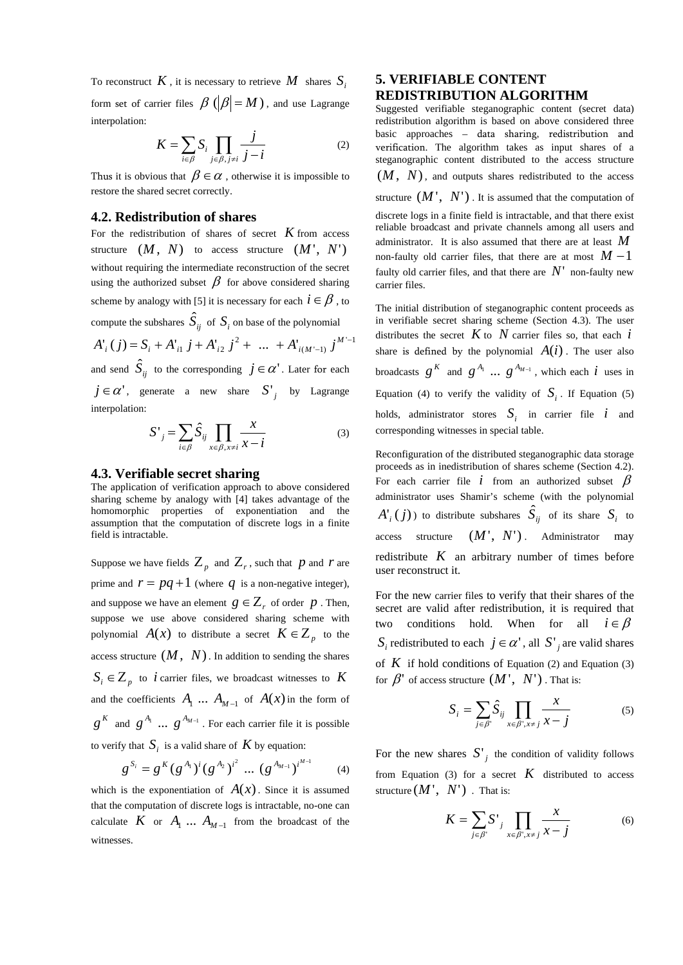To reconstruct  $K$ , it is necessary to retrieve  $M$  shares  $S_i$ form set of carrier files  $\beta$  ( $|\beta| = M$ ), and use Lagrange interpolation:

$$
K = \sum_{i \in \beta} S_i \prod_{j \in \beta, j \neq i} \frac{j}{j - i} \tag{2}
$$

Thus it is obvious that  $\beta \in \alpha$ , otherwise it is impossible to restore the shared secret correctly.

## **4.2. Redistribution of shares**

For the redistribution of shares of secret  $K$  from access structure  $(M, N)$  to access structure  $(M', N')$ without requiring the intermediate reconstruction of the secret using the authorized subset  $\beta$  for above considered sharing scheme by analogy with [5] it is necessary for each  $i \in \beta$ , to compute the subshares  $\hat{S}_{ij}$  of  $S_i$  on base of the polynomial 2 *M*

$$
A'_{i}(j) = S_{i} + A'_{i1} j + A'_{i2} j^{2} + \dots + A'_{i(M'-1)} j^{M'-1}
$$

and send  $\hat{S}_{ij}$  to the corresponding  $j \in \alpha'$  . Later for each  $j \in \alpha'$ , generate a new share  $S'$  by Lagrange interpolation:

$$
S'_{j} = \sum_{i \in \beta} \hat{S}_{ij} \prod_{x \in \beta, x \neq i} \frac{x}{x - i}
$$
 (3)

### **4.3. Verifiable secret sharing**

The application of verification approach to above considered sharing scheme by analogy with [4] takes advantage of the homomorphic properties of exponentiation and the assumption that the computation of discrete logs in a finite field is intractable.

Suppose we have fields  $Z_p$  and  $Z_r$ , such that p and r are prime and  $r = pq + 1$  (where q is a non-negative integer), and suppose we have an element  $g \in Z_r$  of order  $p$ . Then, suppose we use above considered sharing scheme with polynomial  $A(x)$  to distribute a secret  $K \in \mathbb{Z}_p$  to the access structure  $(M, N)$ . In addition to sending the shares  $S_i \in Z_p$  to *i* carrier files, we broadcast witnesses to *K* and the coefficients  $A_1 \ldots A_{M-1}$  of  $A(x)$  in the form of  $g^{K}$  and  $g^{A_1}$  ...  $g^{A_{M-1}}$ . For each carrier file it is possible to verify that  $S_i$  is a valid share of  $K$  by equation:

$$
g^{S_i} = g^K (g^{A_i})^i (g^{A_2})^{i^2} \dots (g^{A_{M-1}})^{i^{M-1}}
$$
 (4)

which is the exponentiation of  $A(x)$ . Since it is assumed that the computation of discrete logs is intractable, no-one can calculate *K* or  $A_1 \ldots A_{M-1}$  from the broadcast of the witnesses.

## **5. VERIFIABLE CONTENT REDISTRIBUTION ALGORITHM**

Suggested verifiable steganographic content (secret data) redistribution algorithm is based on above considered three basic approaches – data sharing, redistribution and verification. The algorithm takes as input shares of a steganographic content distributed to the access structure (*M* , *N*), and outputs shares redistributed to the access structure  $(M', N')$ . It is assumed that the computation of discrete logs in a finite field is intractable, and that there exist reliable broadcast and private channels among all users and administrator. It is also assumed that there are at least *M* non-faulty old carrier files, that there are at most  $M-1$ faulty old carrier files, and that there are  $N'$  non-faulty new carrier files.

The initial distribution of steganographic content proceeds as in verifiable secret sharing scheme (Section 4.3). The user distributes the secret  $K$  to  $N$  carrier files so, that each  $i$ share is defined by the polynomial  $A(i)$ . The user also broadcasts  $g^K$  and  $g^{A_1} \dots g^{A_{M-1}}$ , which each *i* uses in Equation (4) to verify the validity of  $S_i$ . If Equation (5) holds, administrator stores  $S_i$  in carrier file *i* and corresponding witnesses in special table.

Reconfiguration of the distributed steganographic data storage proceeds as in inedistribution of shares scheme (Section 4.2). For each carrier file  $i$  from an authorized subset  $\beta$ administrator uses Shamir's scheme (with the polynomial  $A'_{i}(j)$ ) to distribute subshares  $\hat{S}_{ij}$  of its share  $S_{i}$  to access structure (*M* ', *N*') . Administrator may redistribute  $K$  an arbitrary number of times before user reconstruct it.

For the new carrier files to verify that their shares of the secret are valid after redistribution, it is required that two conditions hold. When for all  $i \in \beta$ *S<sub>i</sub>* redistributed to each  $j \in \alpha'$ , all *S*<sup>*'*</sup>, are valid shares of  $K$  if hold conditions of Equation (2) and Equation (3) for  $\beta'$  of access structure  $(M', N')$ . That is:

$$
S_i = \sum_{j \in \beta'} \hat{S}_{ij} \prod_{x \in \beta', x \neq j} \frac{x}{x - j}
$$
 (5)

For the new shares  $S'$  the condition of validity follows from Equation (3) for a secret  $K$  distributed to access structure  $(M', N')$ . That is:

$$
K = \sum_{j \in \beta'} S'_{j} \prod_{x \in \beta', x \neq j} \frac{x}{x - j}
$$
 (6)